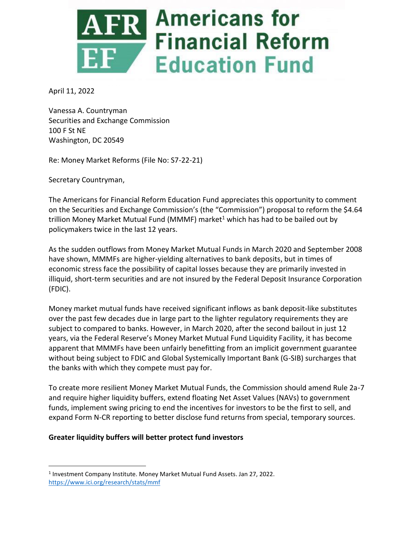

April 11, 2022

Vanessa A. Countryman Securities and Exchange Commission 100 F St NE Washington, DC 20549

Re: Money Market Reforms (File No: S7-22-21)

Secretary Countryman,

The Americans for Financial Reform Education Fund appreciates this opportunity to comment on the Securities and Exchange Commission's (the "Commission") proposal to reform the \$4.64 trillion Money Market Mutual Fund (MMMF) market<sup>1</sup> which has had to be bailed out by policymakers twice in the last 12 years.

As the sudden outflows from Money Market Mutual Funds in March 2020 and September 2008 have shown, MMMFs are higher-yielding alternatives to bank deposits, but in times of economic stress face the possibility of capital losses because they are primarily invested in illiquid, short-term securities and are not insured by the Federal Deposit Insurance Corporation (FDIC).

Money market mutual funds have received significant inflows as bank deposit-like substitutes over the past few decades due in large part to the lighter regulatory requirements they are subject to compared to banks. However, in March 2020, after the second bailout in just 12 years, via the Federal Reserve's Money Market Mutual Fund Liquidity Facility, it has become apparent that MMMFs have been unfairly benefitting from an implicit government guarantee without being subject to FDIC and Global Systemically Important Bank (G-SIB) surcharges that the banks with which they compete must pay for.

To create more resilient Money Market Mutual Funds, the Commission should amend Rule 2a-7 and require higher liquidity buffers, extend floating Net Asset Values (NAVs) to government funds, implement swing pricing to end the incentives for investors to be the first to sell, and expand Form N-CR reporting to better disclose fund returns from special, temporary sources.

### **Greater liquidity buffers will better protect fund investors**

<sup>&</sup>lt;sup>1</sup> Investment Company Institute. Money Market Mutual Fund Assets. Jan 27, 2022. <https://www.ici.org/research/stats/mmf>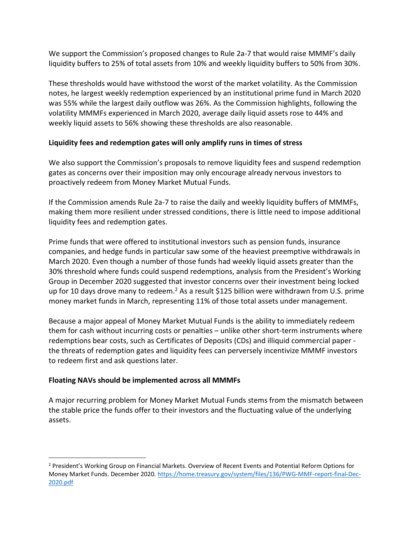We support the Commission's proposed changes to Rule 2a-7 that would raise MMMF's daily liquidity buffers to 25% of total assets from 10% and weekly liquidity buffers to 50% from 30%.

These thresholds would have withstood the worst of the market volatility. As the Commission notes, he largest weekly redemption experienced by an institutional prime fund in March 2020 was 55% while the largest daily outflow was 26%. As the Commission highlights, following the volatility MMMFs experienced in March 2020, average daily liquid assets rose to 44% and weekly liquid assets to 56% showing these thresholds are also reasonable.

## **Liquidity fees and redemption gates will only amplify runs in times of stress**

We also support the Commission's proposals to remove liquidity fees and suspend redemption gates as concerns over their imposition may only encourage already nervous investors to proactively redeem from Money Market Mutual Funds.

If the Commission amends Rule 2a-7 to raise the daily and weekly liquidity buffers of MMMFs, making them more resilient under stressed conditions, there is little need to impose additional liquidity fees and redemption gates.

Prime funds that were offered to institutional investors such as pension funds, insurance companies, and hedge funds in particular saw some of the heaviest preemptive withdrawals in March 2020. Even though a number of those funds had weekly liquid assets greater than the 30% threshold where funds could suspend redemptions, analysis from the President's Working Group in December 2020 suggested that investor concerns over their investment being locked up for 10 days drove many to redeem.<sup>2</sup> As a result \$125 billion were withdrawn from U.S. prime money market funds in March, representing 11% of those total assets under management.

Because a major appeal of Money Market Mutual Funds is the ability to immediately redeem them for cash without incurring costs or penalties – unlike other short-term instruments where redemptions bear costs, such as Certificates of Deposits (CDs) and illiquid commercial paper the threats of redemption gates and liquidity fees can perversely incentivize MMMF investors to redeem first and ask questions later.

# **Floating NAVs should be implemented across all MMMFs**

A major recurring problem for Money Market Mutual Funds stems from the mismatch between the stable price the funds offer to their investors and the fluctuating value of the underlying assets.

<sup>&</sup>lt;sup>2</sup> President's Working Group on Financial Markets. Overview of Recent Events and Potential Reform Options for Money Market Funds. December 2020. [https://home.treasury.gov/system/files/136/PWG-MMF-report-final-Dec-](https://home.treasury.gov/system/files/136/PWG-MMF-report-final-Dec-2020.pdf)[2020.pdf](https://home.treasury.gov/system/files/136/PWG-MMF-report-final-Dec-2020.pdf)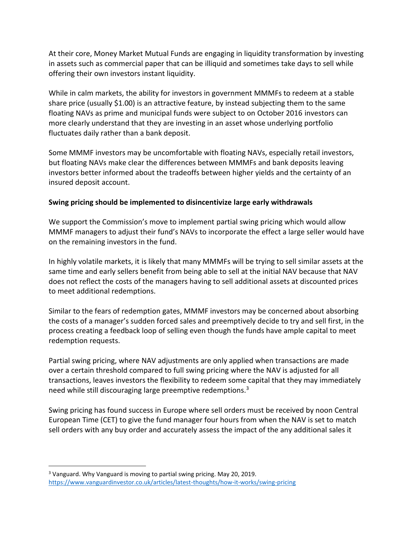At their core, Money Market Mutual Funds are engaging in liquidity transformation by investing in assets such as commercial paper that can be illiquid and sometimes take days to sell while offering their own investors instant liquidity.

While in calm markets, the ability for investors in government MMMFs to redeem at a stable share price (usually \$1.00) is an attractive feature, by instead subjecting them to the same floating NAVs as prime and municipal funds were subject to on October 2016 investors can more clearly understand that they are investing in an asset whose underlying portfolio fluctuates daily rather than a bank deposit.

Some MMMF investors may be uncomfortable with floating NAVs, especially retail investors, but floating NAVs make clear the differences between MMMFs and bank deposits leaving investors better informed about the tradeoffs between higher yields and the certainty of an insured deposit account.

### **Swing pricing should be implemented to disincentivize large early withdrawals**

We support the Commission's move to implement partial swing pricing which would allow MMMF managers to adjust their fund's NAVs to incorporate the effect a large seller would have on the remaining investors in the fund.

In highly volatile markets, it is likely that many MMMFs will be trying to sell similar assets at the same time and early sellers benefit from being able to sell at the initial NAV because that NAV does not reflect the costs of the managers having to sell additional assets at discounted prices to meet additional redemptions.

Similar to the fears of redemption gates, MMMF investors may be concerned about absorbing the costs of a manager's sudden forced sales and preemptively decide to try and sell first, in the process creating a feedback loop of selling even though the funds have ample capital to meet redemption requests.

Partial swing pricing, where NAV adjustments are only applied when transactions are made over a certain threshold compared to full swing pricing where the NAV is adjusted for all transactions, leaves investors the flexibility to redeem some capital that they may immediately need while still discouraging large preemptive redemptions.<sup>3</sup>

Swing pricing has found success in Europe where sell orders must be received by noon Central European Time (CET) to give the fund manager four hours from when the NAV is set to match sell orders with any buy order and accurately assess the impact of the any additional sales it

<sup>3</sup> Vanguard. Why Vanguard is moving to partial swing pricing. May 20, 2019. <https://www.vanguardinvestor.co.uk/articles/latest-thoughts/how-it-works/swing-pricing>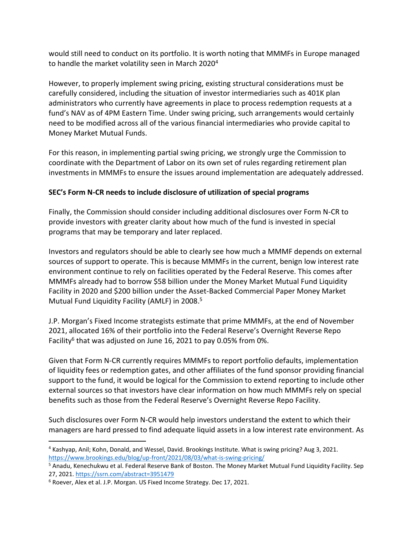would still need to conduct on its portfolio. It is worth noting that MMMFs in Europe managed to handle the market volatility seen in March 2020<sup>4</sup>

However, to properly implement swing pricing, existing structural considerations must be carefully considered, including the situation of investor intermediaries such as 401K plan administrators who currently have agreements in place to process redemption requests at a fund's NAV as of 4PM Eastern Time. Under swing pricing, such arrangements would certainly need to be modified across all of the various financial intermediaries who provide capital to Money Market Mutual Funds.

For this reason, in implementing partial swing pricing, we strongly urge the Commission to coordinate with the Department of Labor on its own set of rules regarding retirement plan investments in MMMFs to ensure the issues around implementation are adequately addressed.

## **SEC's Form N-CR needs to include disclosure of utilization of special programs**

Finally, the Commission should consider including additional disclosures over Form N-CR to provide investors with greater clarity about how much of the fund is invested in special programs that may be temporary and later replaced.

Investors and regulators should be able to clearly see how much a MMMF depends on external sources of support to operate. This is because MMMFs in the current, benign low interest rate environment continue to rely on facilities operated by the Federal Reserve. This comes after MMMFs already had to borrow \$58 billion under the Money Market Mutual Fund Liquidity Facility in 2020 and \$200 billion under the Asset-Backed Commercial Paper Money Market Mutual Fund Liquidity Facility (AMLF) in 2008. 5

J.P. Morgan's Fixed Income strategists estimate that prime MMMFs, at the end of November 2021, allocated 16% of their portfolio into the Federal Reserve's Overnight Reverse Repo Facility<sup>6</sup> that was adjusted on June 16, 2021 to pay 0.05% from 0%.

Given that Form N-CR currently requires MMMFs to report portfolio defaults, implementation of liquidity fees or redemption gates, and other affiliates of the fund sponsor providing financial support to the fund, it would be logical for the Commission to extend reporting to include other external sources so that investors have clear information on how much MMMFs rely on special benefits such as those from the Federal Reserve's Overnight Reverse Repo Facility.

Such disclosures over Form N-CR would help investors understand the extent to which their managers are hard pressed to find adequate liquid assets in a low interest rate environment. As

<sup>4</sup> Kashyap, Anil; Kohn, Donald, and Wessel, David. Brookings Institute. What is swing pricing? Aug 3, 2021. <https://www.brookings.edu/blog/up-front/2021/08/03/what-is-swing-pricing/>

<sup>5</sup> Anadu, Kenechukwu et al. Federal Reserve Bank of Boston. The Money Market Mutual Fund Liquidity Facility. Sep 27, 2021.<https://ssrn.com/abstract=3951479>

<sup>6</sup> Roever, Alex et al. J.P. Morgan. US Fixed Income Strategy. Dec 17, 2021.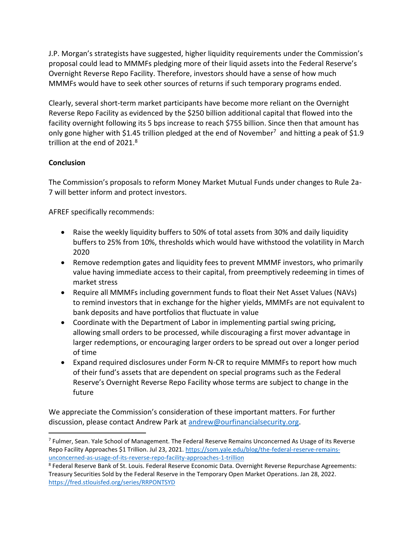J.P. Morgan's strategists have suggested, higher liquidity requirements under the Commission's proposal could lead to MMMFs pledging more of their liquid assets into the Federal Reserve's Overnight Reverse Repo Facility. Therefore, investors should have a sense of how much MMMFs would have to seek other sources of returns if such temporary programs ended.

Clearly, several short-term market participants have become more reliant on the Overnight Reverse Repo Facility as evidenced by the \$250 billion additional capital that flowed into the facility overnight following its 5 bps increase to reach \$755 billion. Since then that amount has only gone higher with \$1.45 trillion pledged at the end of November<sup>7</sup> and hitting a peak of \$1.9 trillion at the end of 2021.<sup>8</sup>

## **Conclusion**

The Commission's proposals to reform Money Market Mutual Funds under changes to Rule 2a-7 will better inform and protect investors.

AFREF specifically recommends:

- Raise the weekly liquidity buffers to 50% of total assets from 30% and daily liquidity buffers to 25% from 10%, thresholds which would have withstood the volatility in March 2020
- Remove redemption gates and liquidity fees to prevent MMMF investors, who primarily value having immediate access to their capital, from preemptively redeeming in times of market stress
- Require all MMMFs including government funds to float their Net Asset Values (NAVs) to remind investors that in exchange for the higher yields, MMMFs are not equivalent to bank deposits and have portfolios that fluctuate in value
- Coordinate with the Department of Labor in implementing partial swing pricing, allowing small orders to be processed, while discouraging a first mover advantage in larger redemptions, or encouraging larger orders to be spread out over a longer period of time
- Expand required disclosures under Form N-CR to require MMMFs to report how much of their fund's assets that are dependent on special programs such as the Federal Reserve's Overnight Reverse Repo Facility whose terms are subject to change in the future

We appreciate the Commission's consideration of these important matters. For further discussion, please contact Andrew Park at [andrew@ourfinancialsecurity.org.](mailto:andrew@ourfinancialsecurity.org)

<sup>7</sup> Fulmer, Sean. Yale School of Management. The Federal Reserve Remains Unconcerned As Usage of its Reverse Repo Facility Approaches \$1 Trillion. Jul 23, 2021[. https://som.yale.edu/blog/the-federal-reserve-remains](https://som.yale.edu/blog/the-federal-reserve-remains-unconcerned-as-usage-of-its-reverse-repo-facility-approaches-1-trillion)[unconcerned-as-usage-of-its-reverse-repo-facility-approaches-1-trillion](https://som.yale.edu/blog/the-federal-reserve-remains-unconcerned-as-usage-of-its-reverse-repo-facility-approaches-1-trillion)

<sup>8</sup> Federal Reserve Bank of St. Louis. Federal Reserve Economic Data. Overnight Reverse Repurchase Agreements: Treasury Securities Sold by the Federal Reserve in the Temporary Open Market Operations. Jan 28, 2022. <https://fred.stlouisfed.org/series/RRPONTSYD>